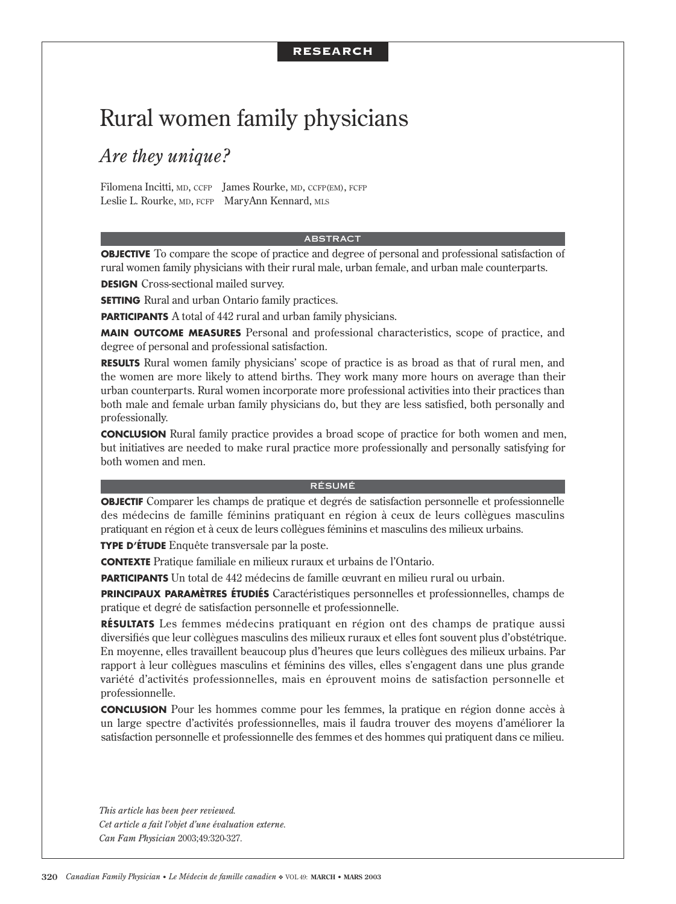# RESEARCH

# Rural women family physicians

# *Are they unique?*

Filomena Incitti, MD, CCFP James Rourke, MD, CCFP(EM), FCFP Leslie L. Rourke, MD, FCFP MaryAnn Kennard, MLS

### ABSTRACT

**OBJECTIVE** To compare the scope of practice and degree of personal and professional satisfaction of rural women family physicians with their rural male, urban female, and urban male counterparts.

**DESIGN** Cross-sectional mailed survey.

**SETTING** Rural and urban Ontario family practices.

**PARTICIPANTS** A total of 442 rural and urban family physicians.

**MAIN OUTCOME MEASURES** Personal and professional characteristics, scope of practice, and degree of personal and professional satisfaction.

**RESULTS** Rural women family physicians' scope of practice is as broad as that of rural men, and the women are more likely to attend births. They work many more hours on average than their urban counterparts. Rural women incorporate more professional activities into their practices than both male and female urban family physicians do, but they are less satisfied, both personally and professionally.

**CONCLUSION** Rural family practice provides a broad scope of practice for both women and men, but initiatives are needed to make rural practice more professionally and personally satisfying for both women and men.

### RÉSUMÉ

**OBJECTIF** Comparer les champs de pratique et degrés de satisfaction personnelle et professionnelle des médecins de famille féminins pratiquant en région à ceux de leurs collègues masculins pratiquant en région et à ceux de leurs collègues féminins et masculins des milieux urbains.

**TYPE D'ÉTUDE** Enquête transversale par la poste.

**CONTEXTE** Pratique familiale en milieux ruraux et urbains de l'Ontario.

**PARTICIPANTS** Un total de 442 médecins de famille œuvrant en milieu rural ou urbain.

**PRINCIPAUX PARAMÈTRES ÉTUDIÉS** Caractéristiques personnelles et professionnelles, champs de pratique et degré de satisfaction personnelle et professionnelle.

**RÉSULTATS** Les femmes médecins pratiquant en région ont des champs de pratique aussi diversifiés que leur collègues masculins des milieux ruraux et elles font souvent plus d'obstétrique. En moyenne, elles travaillent beaucoup plus d'heures que leurs collègues des milieux urbains. Par rapport à leur collègues masculins et féminins des villes, elles s'engagent dans une plus grande variété d'activités professionnelles, mais en éprouvent moins de satisfaction personnelle et professionnelle.

**CONCLUSION** Pour les hommes comme pour les femmes, la pratique en région donne accès à un large spectre d'activités professionnelles, mais il faudra trouver des moyens d'améliorer la satisfaction personnelle et professionnelle des femmes et des hommes qui pratiquent dans ce milieu.

*This article has been peer reviewed. Cet article a fait l'objet d'une évaluation externe. Can Fam Physician* 2003;49*:*320-327*.*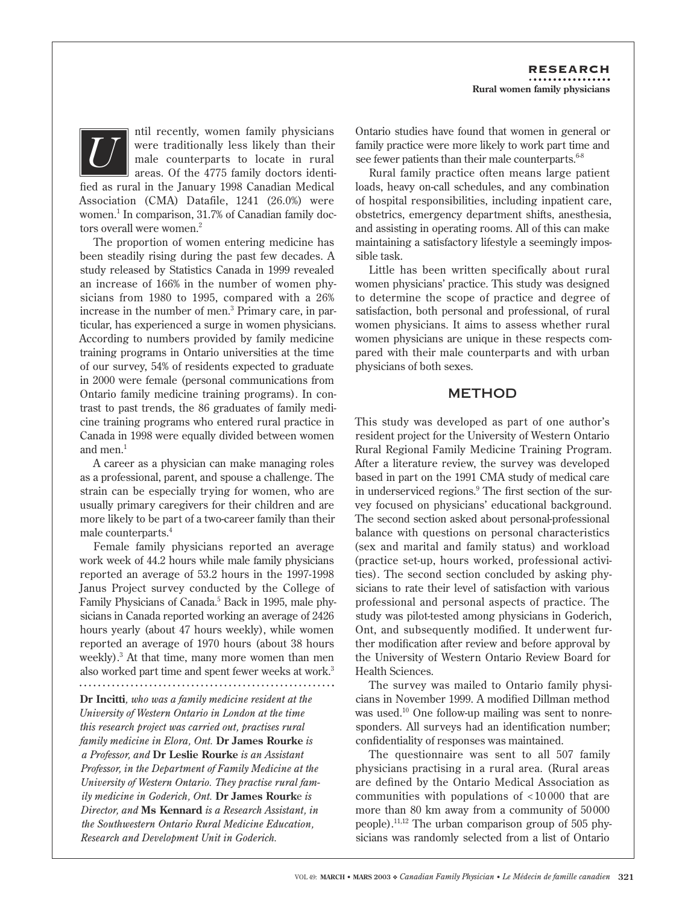ntil recently, women family physicians were traditionally less likely than their male counterparts to locate in rural areas. Of the 4775 family doctors identi-

fied as rural in the January 1998 Canadian Medical Association (CMA) Datafile, 1241 (26.0%) were women.<sup>1</sup> In comparison, 31.7% of Canadian family doctors overall were women.<sup>2</sup>

*U*

The proportion of women entering medicine has been steadily rising during the past few decades. A study released by Statistics Canada in 1999 revealed an increase of 166% in the number of women physicians from 1980 to 1995, compared with a 26% increase in the number of men.3 Primary care, in particular, has experienced a surge in women physicians. According to numbers provided by family medicine training programs in Ontario universities at the time of our survey, 54% of residents expected to graduate in 2000 were female (personal communications from Ontario family medicine training programs). In contrast to past trends, the 86 graduates of family medicine training programs who entered rural practice in Canada in 1998 were equally divided between women and men.<sup>1</sup>

A career as a physician can make managing roles as a professional, parent, and spouse a challenge. The strain can be especially trying for women, who are usually primary caregivers for their children and are more likely to be part of a two-career family than their male counterparts.4

Female family physicians reported an average work week of 44.2 hours while male family physicians reported an average of 53.2 hours in the 1997-1998 Janus Project survey conducted by the College of Family Physicians of Canada.<sup>5</sup> Back in 1995, male physicians in Canada reported working an average of 2426 hours yearly (about 47 hours weekly), while women reported an average of 1970 hours (about 38 hours weekly).3 At that time, many more women than men also worked part time and spent fewer weeks at work.<sup>3</sup>

**Dr Incitti***, who was a family medicine resident at the University of Western Ontario in London at the time this research project was carried out, practises rural family medicine in Elora, Ont.* **Dr James Rourke** *is a Professor, and* **Dr Leslie Rourke** *is an Assistant Professor, in the Department of Family Medicine at the University of Western Ontario. They practise rural family medicine in Goderich, Ont.* **Dr James Rourk**e *is Director, and* **Ms Kennard** *is a Research Assistant, in the Southwestern Ontario Rural Medicine Education, Research and Development Unit in Goderich.*

Ontario studies have found that women in general or family practice were more likely to work part time and see fewer patients than their male counterparts.<sup>68</sup>

Rural family practice often means large patient loads, heavy on-call schedules, and any combination of hospital responsibilities, including inpatient care, obstetrics, emergency department shifts, anesthesia, and assisting in operating rooms. All of this can make maintaining a satisfactory lifestyle a seemingly impossible task.

Little has been written specifically about rural women physicians' practice. This study was designed to determine the scope of practice and degree of satisfaction, both personal and professional, of rural women physicians. It aims to assess whether rural women physicians are unique in these respects compared with their male counterparts and with urban physicians of both sexes.

# METHOD

This study was developed as part of one author's resident project for the University of Western Ontario Rural Regional Family Medicine Training Program. After a literature review, the survey was developed based in part on the 1991 CMA study of medical care in underserviced regions.9 The first section of the survey focused on physicians' educational background. The second section asked about personal-professional balance with questions on personal characteristics (sex and marital and family status) and workload (practice set-up, hours worked, professional activities). The second section concluded by asking physicians to rate their level of satisfaction with various professional and personal aspects of practice. The study was pilot-tested among physicians in Goderich, Ont, and subsequently modified. It underwent further modification after review and before approval by the University of Western Ontario Review Board for Health Sciences.

The survey was mailed to Ontario family physicians in November 1999. A modified Dillman method was used.<sup>10</sup> One follow-up mailing was sent to nonresponders. All surveys had an identification number; confidentiality of responses was maintained.

The questionnaire was sent to all 507 family physicians practising in a rural area. (Rural areas are defined by the Ontario Medical Association as communities with populations of < 10 000 that are more than 80 km away from a community of 50 000 people).11,12 The urban comparison group of 505 physicians was randomly selected from a list of Ontario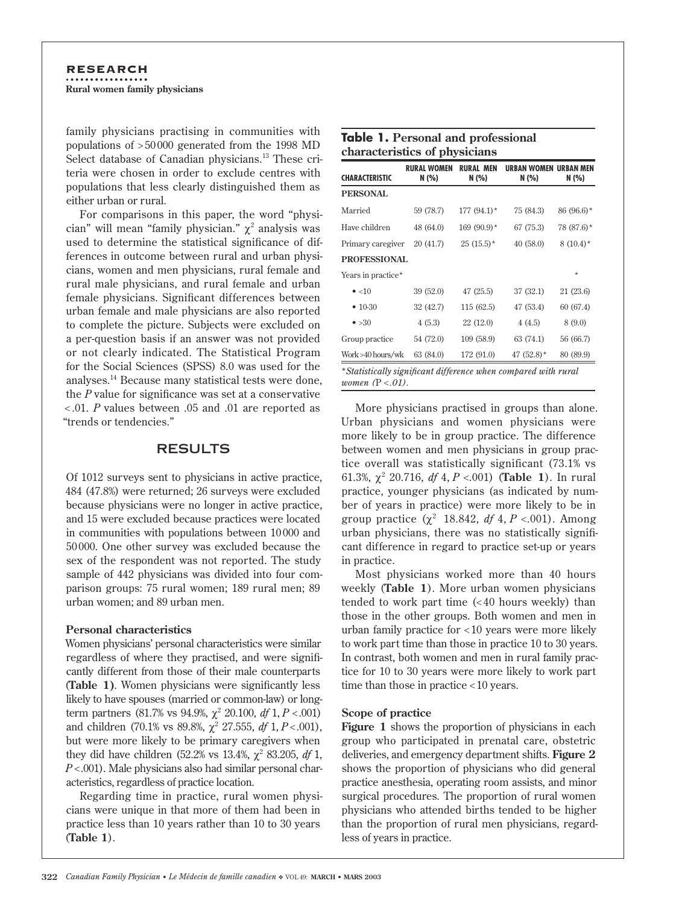family physicians practising in communities with populations of > 50 000 generated from the 1998 MD Select database of Canadian physicians.<sup>13</sup> These criteria were chosen in order to exclude centres with populations that less clearly distinguished them as either urban or rural.

For comparisons in this paper, the word "physician" will mean "family physician."  $\chi^2$  analysis was used to determine the statistical significance of differences in outcome between rural and urban physicians, women and men physicians, rural female and rural male physicians, and rural female and urban female physicians. Significant differences between urban female and male physicians are also reported to complete the picture. Subjects were excluded on a per-question basis if an answer was not provided or not clearly indicated. The Statistical Program for the Social Sciences (SPSS) 8.0 was used for the analyses.14 Because many statistical tests were done, the *P* value for significance was set at a conservative < .01. *P* values between .05 and .01 are reported as "trends or tendencies."

# RESULTS

Of 1012 surveys sent to physicians in active practice, 484 (47.8%) were returned; 26 surveys were excluded because physicians were no longer in active practice, and 15 were excluded because practices were located in communities with populations between 10 000 and 50 000. One other survey was excluded because the sex of the respondent was not reported. The study sample of 442 physicians was divided into four comparison groups: 75 rural women; 189 rural men; 89 urban women; and 89 urban men.

# **Personal characteristics**

Women physicians' personal characteristics were similar regardless of where they practised, and were significantly different from those of their male counterparts (**Table 1)**. Women physicians were significantly less likely to have spouses (married or common-law) or longterm partners  $(81.7\% \text{ vs } 94.9\%, \chi^2 \text{ 20.100, df } 1, P < .001)$ and children  $(70.1\% \text{ vs } 89.8\%, \chi^2 27.555, df 1, P < .001),$ but were more likely to be primary caregivers when they did have children  $(52.2\% \text{ vs } 13.4\%, \chi^2 \text{ 83.205, } df 1,$ *P* < .001). Male physicians also had similar personal characteristics, regardless of practice location.

Regarding time in practice, rural women physicians were unique in that more of them had been in practice less than 10 years rather than 10 to 30 years (**Table 1**).

| <b>CHARACTERISTIC</b> | <b>RURAL WOMEN</b><br>N (%) | <b>RURAL MEN</b><br>N (%) | <b>IIRRAN WOMFN</b><br>N (%) | <b>IIRRAN MFN</b><br>N (%) |
|-----------------------|-----------------------------|---------------------------|------------------------------|----------------------------|
| <b>PERSONAL</b>       |                             |                           |                              |                            |
| Married               | 59 (78.7)                   | $177(94.1)$ *             | 75 (84.3)                    | $86(96.6)$ *               |
| Have children         | 48 (64.0)                   | $169(90.9)$ *             | 67 (75.3)                    | 78 (87.6)*                 |
| Primary caregiver     | 20 (41.7)                   | $25(15.5)^*$              | 40(58.0)                     | $8(10.4)^*$                |
| <b>PROFESSIONAL</b>   |                             |                           |                              |                            |
| Years in practice*    |                             |                           |                              | $\star$                    |
| $\bullet$ <10         | 39(52.0)                    | 47(25.5)                  | 37 (32.1)                    | 21 (23.6)                  |
| $• 10-30$             | 32 (42.7)                   | 115(62.5)                 | 47 (53.4)                    | 60 (67.4)                  |
| $\bullet > 30$        | 4(5.3)                      | 22 (12.0)                 | 4(4.5)                       | 8 (9.0)                    |
| Group practice        | 54 (72.0)                   | 109(58.9)                 | 63 (74.1)                    | 56 (66.7)                  |
| Work>40 hours/wk      | 63 (84.0)                   | 172 (91.0)                | 47 $(52.8)$ *                | 80 (89.9)                  |

More physicians practised in groups than alone. Urban physicians and women physicians were more likely to be in group practice. The difference between women and men physicians in group practice overall was statistically significant (73.1% vs 61.3%, χ<sup>2</sup> 20.716, *df* 4, *P* <.001) (**Table 1**). In rural practice, younger physicians (as indicated by number of years in practice) were more likely to be in group practice  $(\chi^2$  18.842, *df* 4, *P* <.001). Among urban physicians, there was no statistically significant difference in regard to practice set-up or years in practice.

Most physicians worked more than 40 hours weekly (**Table 1**). More urban women physicians tended to work part time (< 40 hours weekly) than those in the other groups. Both women and men in urban family practice for < 10 years were more likely to work part time than those in practice 10 to 30 years. In contrast, both women and men in rural family practice for 10 to 30 years were more likely to work part time than those in practice < 10 years.

# **Scope of practice**

**Figure 1** shows the proportion of physicians in each group who participated in prenatal care, obstetric deliveries, and emergency department shifts. **Figure 2** shows the proportion of physicians who did general practice anesthesia, operating room assists, and minor surgical procedures. The proportion of rural women physicians who attended births tended to be higher than the proportion of rural men physicians, regardless of years in practice.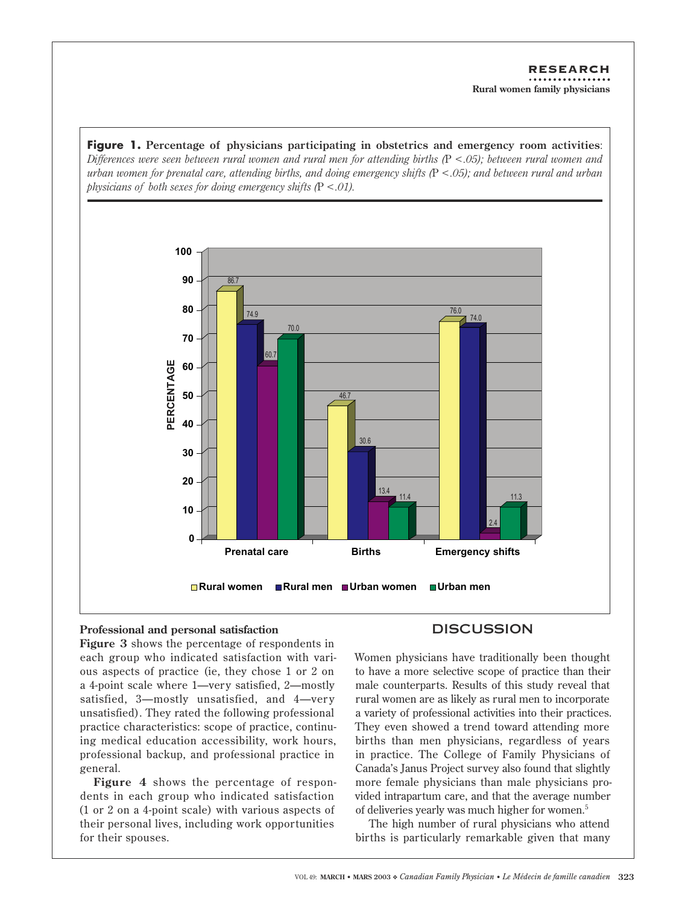Figure 1. Percentage of physicians participating in obstetrics and emergency room activities: Differences were seen between rural women and rural men for attending births  $(P < .05)$ ; between rural women and urban women for prenatal care, attending births, and doing emergency shifts  $(P < .05)$ ; and between rural and urban physicians of both sexes for doing emergency shifts  $(P < 01)$ .



# Professional and personal satisfaction

Figure 3 shows the percentage of respondents in each group who indicated satisfaction with various aspects of practice (ie, they chose 1 or 2 on a 4-point scale where 1—very satisfied, 2—mostly satisfied, 3—mostly unsatisfied, and 4—very unsatisfied). They rated the following professional practice characteristics: scope of practice, continuing medical education accessibility, work hours, professional backup, and professional practice in general.

Figure 4 shows the percentage of respondents in each group who indicated satisfaction (1 or 2 on a 4-point scale) with various aspects of their personal lives, including work opportunities for their spouses.

# **DISCUSSION**

Women physicians have traditionally been thought to have a more selective scope of practice than their male counterparts. Results of this study reveal that rural women are as likely as rural men to incorporate a variety of professional activities into their practices. They even showed a trend toward attending more births than men physicians, regardless of years in practice. The College of Family Physicians of Canada's Janus Project survey also found that slightly more female physicians than male physicians provided intrapartum care, and that the average number of deliveries yearly was much higher for women.<sup>5</sup>

The high number of rural physicians who attend births is particularly remarkable given that many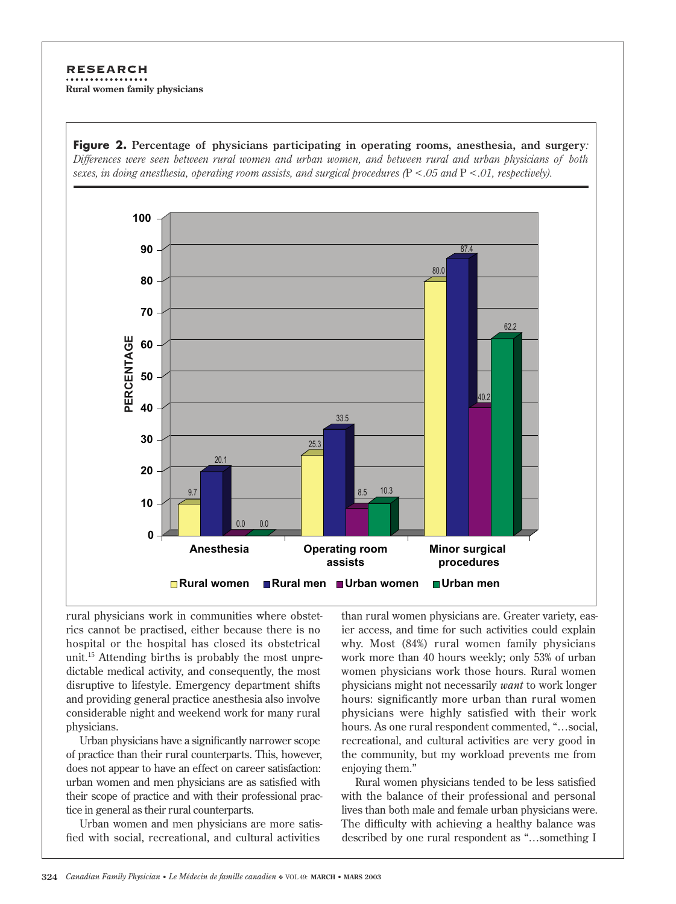# **RESEARCH**

Rural women family physicians



**Figure 2.** Percentage of physicians participating in operating rooms, anesthesia, and surgery:

rural physicians work in communities where obstetrics cannot be practised, either because there is no hospital or the hospital has closed its obstetrical unit.<sup>15</sup> Attending births is probably the most unpredictable medical activity, and consequently, the most disruptive to lifestyle. Emergency department shifts and providing general practice anesthesia also involve considerable night and weekend work for many rural physicians.

Urban physicians have a significantly narrower scope of practice than their rural counterparts. This, however, does not appear to have an effect on career satisfaction: urban women and men physicians are as satisfied with their scope of practice and with their professional practice in general as their rural counterparts.

Urban women and men physicians are more satisfied with social, recreational, and cultural activities

than rural women physicians are. Greater variety, easier access, and time for such activities could explain why. Most (84%) rural women family physicians work more than 40 hours weekly; only 53% of urban women physicians work those hours. Rural women physicians might not necessarily want to work longer hours: significantly more urban than rural women physicians were highly satisfied with their work hours. As one rural respondent commented, "...social, recreational, and cultural activities are very good in the community, but my workload prevents me from enjoying them."

Rural women physicians tended to be less satisfied with the balance of their professional and personal lives than both male and female urban physicians were. The difficulty with achieving a healthy balance was described by one rural respondent as "...something I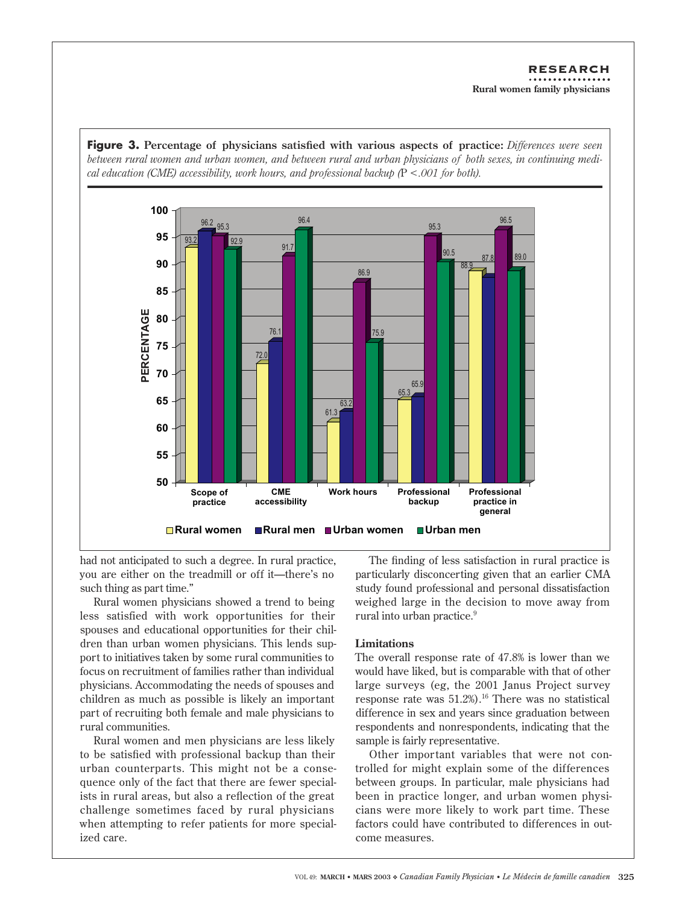

**Figure 3.** Percentage of physicians satisfied with various aspects of practice: Differences were seen between rural women and urban women, and between rural and urban physicians of both sexes, in continuing medi-

had not anticipated to such a degree. In rural practice, you are either on the treadmill or off it—there's no such thing as part time."

Rural women physicians showed a trend to being less satisfied with work opportunities for their spouses and educational opportunities for their children than urban women physicians. This lends support to initiatives taken by some rural communities to focus on recruitment of families rather than individual physicians. Accommodating the needs of spouses and children as much as possible is likely an important part of recruiting both female and male physicians to rural communities.

Rural women and men physicians are less likely to be satisfied with professional backup than their urban counterparts. This might not be a consequence only of the fact that there are fewer specialists in rural areas, but also a reflection of the great challenge sometimes faced by rural physicians when attempting to refer patients for more specialized care.

The finding of less satisfaction in rural practice is particularly disconcerting given that an earlier CMA study found professional and personal dissatisfaction weighed large in the decision to move away from rural into urban practice.<sup>9</sup>

# **Limitations**

The overall response rate of 47.8% is lower than we would have liked, but is comparable with that of other large surveys (eg, the 2001 Janus Project survey response rate was  $51.2\%$ .<sup>16</sup> There was no statistical difference in sex and years since graduation between respondents and nonrespondents, indicating that the sample is fairly representative.

Other important variables that were not controlled for might explain some of the differences between groups. In particular, male physicians had been in practice longer, and urban women physicians were more likely to work part time. These factors could have contributed to differences in outcome measures.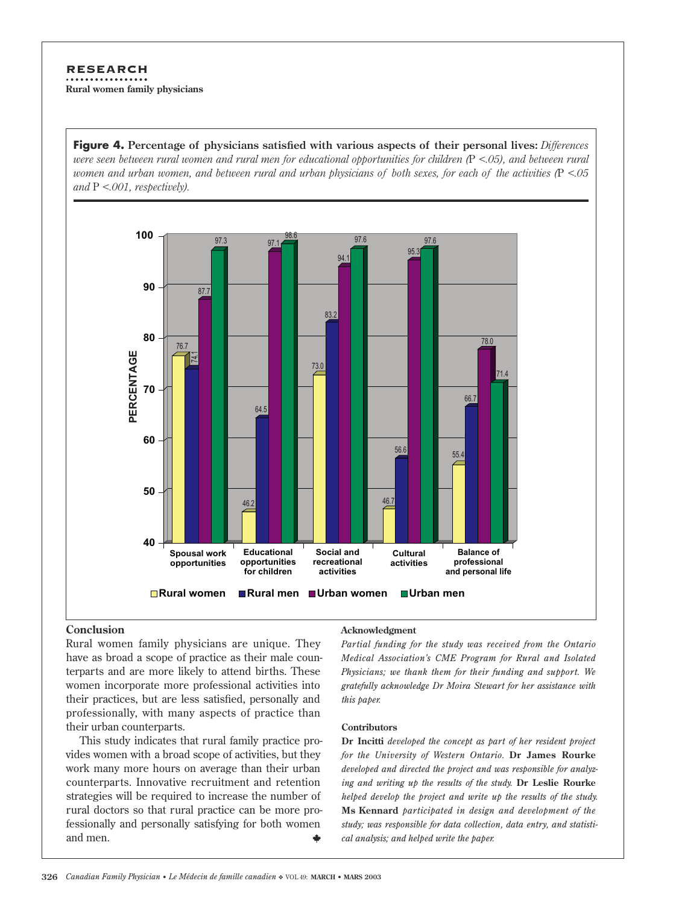# **RESEARCH** Rural women family physicians

Figure 4. Percentage of physicians satisfied with various aspects of their personal lives: Differences were seen between rural women and rural men for educational opportunities for children  $(P < 0.05)$ , and between rural women and urban women, and between rural and urban physicians of both sexes, for each of the activities  $(P < 0.05$ and  $P \le 0.001$ , respectively).



# Conclusion

Rural women family physicians are unique. They have as broad a scope of practice as their male counterparts and are more likely to attend births. These women incorporate more professional activities into their practices, but are less satisfied, personally and professionally, with many aspects of practice than their urban counterparts.

This study indicates that rural family practice provides women with a broad scope of activities, but they work many more hours on average than their urban counterparts. Innovative recruitment and retention strategies will be required to increase the number of rural doctors so that rural practice can be more professionally and personally satisfying for both women and men.

### Acknowledgment

Partial funding for the study was received from the Ontario Medical Association's CME Program for Rural and Isolated Physicians; we thank them for their funding and support. We gratefully acknowledge Dr Moira Stewart for her assistance with this paper.

### **Contributors**

Dr Incitti developed the concept as part of her resident project for the University of Western Ontario. Dr James Rourke developed and directed the project and was responsible for analyzing and writing up the results of the study. Dr Leslie Rourke helped develop the project and write up the results of the study. Ms Kennard participated in design and development of the study; was responsible for data collection, data entry, and statistical analysis; and helped write the paper.